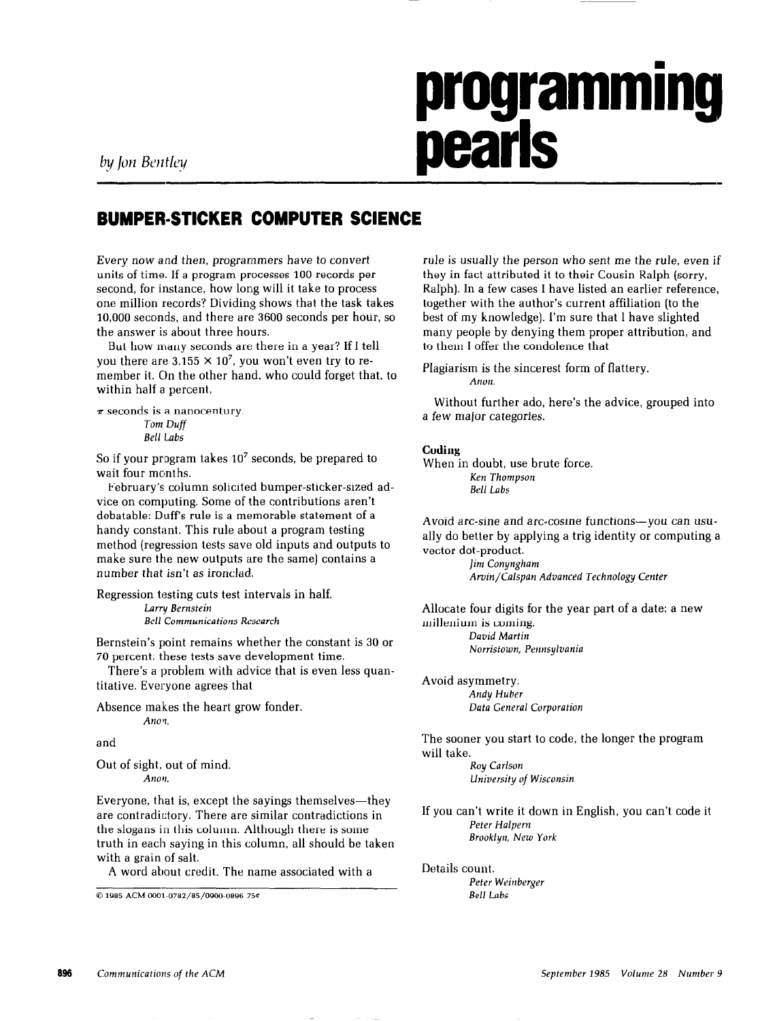# programming **pearls**

# BUMPER-STICKER COMPUTER SCIENCE

Every now and then, programmers have to convert units of time. If a program processes 100 records per second, for instance, how long will it take to process one million records? Dividing shows that the task takes 10,000 seconds, and there are 3600 seconds per hour, so the answer is about three hours.

But how many seconds are there in a year? If I tell you there are  $3.155 \times 10^7$ , you won't even try to remember it. On the other hand, who could forget that, to within half a percent,

```
\pi seconds is a nanocentury.
         Tom Duff 
          Bell Labs
```
So if your program takes  $10<sup>7</sup>$  seconds, be prepared to wait four months.

February's column solicited bumper-sticker-sized advice on computing. Some of the contributions aren't debatable: Duff's rule is a memorable statement of a handy constant. This rule about a program testing method (regression tests save old inputs and outputs to make sure the new outputs are the same) contains a number that isn't as ironclad.

Regression testing cuts test intervals in half. Larry Bernstein Bell Communications Research

Bernstein's point remains whether the constant is 30 or 70 percent: these tests save development time.

There's a problem with advice that is even less quantitative. Everyone agrees that

Absence makes the heart grow fonder. Anon.

and

Out of sight, out of mind.

Everyone, that is, except the sayings themselves—they are contradictory. There are similar contradictions in the slogans in this column. Although there is some truth in each saying in this column, all should be taken with a grain of salt.

A word about credit. The name associated with a

Q1985 ACMOOOl-0782/85/0900-0896 750

rule is usually the person who sent me the rule, even if they in fact attributed it to their Cousin Ralph (sorry, Ralph). In a few cases 1 have listed an earlier reference, together with the author's current affiliation (to the best of my knowledge]. I'm sure that 1 have slighted many people by denying them proper attribution, and to them I offer the condolence that

Plagiarism is the sincerest form of flattery. Anon.

Without further ado, here's the advice, grouped into a few major categories.

# Coding

When in doubt, use brute force. Ken Thompson Bell Labs

Avoid arc-sine and arc-cosine functions-you can usually do better by applying a trig identity or computing a vector dot-product.

> Jim Conyngham Arvin/Cnlspan Advanced Technology Center

Allocate four digits for the year part of a date: a new millenium is coming. David Martin Norristown, Pennsylvania

Avoid asymmetry. Andy Huber Data General Corporation

The sooner you start to code, the longer the program will take. Roy Carlson

Anon. University of Wisconsin

If you can't write it down in English, you can't code it Peter Halpern Brooklyn, New York

Details count. Peter Weinberger Bell Labs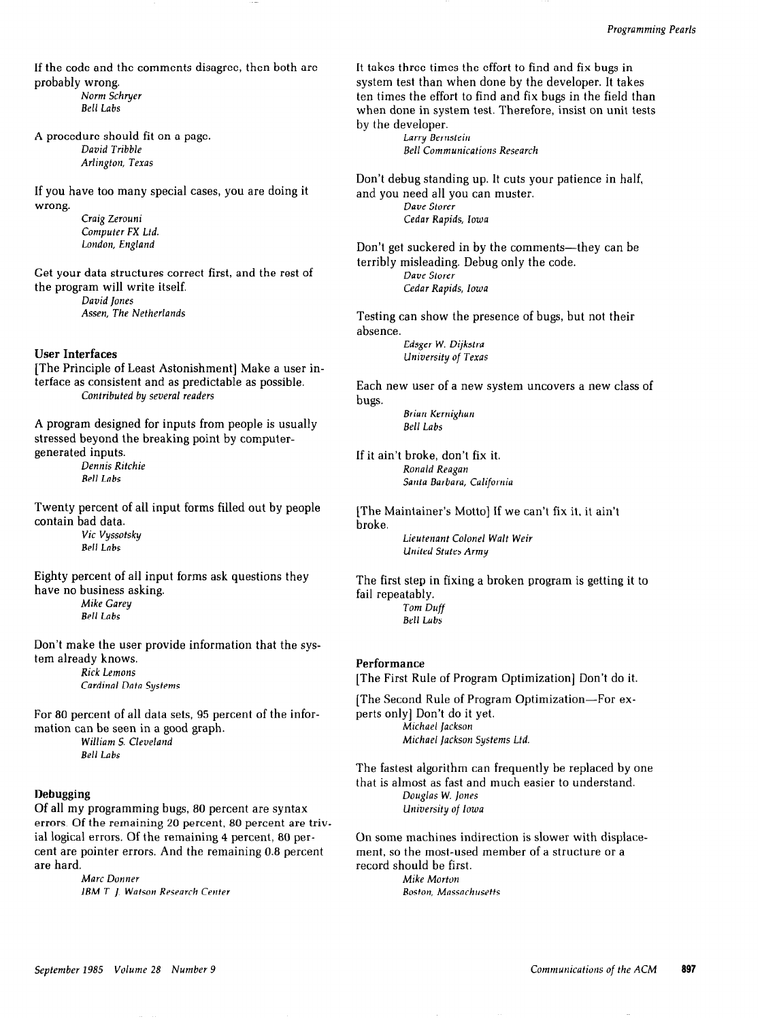If the code and the comments disagree, then both are probably wrong.

Norm Schruer Belt Labs

A procedure should fit on a page. David Tribble Arlington, Texas

If you have too many special cases, you are doing it wrong.

> Craig Zerouni Computer FX Ltd. London, England

Get your data structures correct first, and the rest of the program will write itself.

David Iones Assen, The Netherlands

### User Interfaces

[The Principle of Least Astonishment] Make a user interface as consistent and as predictable as possible. Contributed by several readers

A program designed for inputs from people is usually stressed beyond the breaking point by computergenerated inputs. Dennis Ritchie

Bell Labs

Twenty percent of all input forms filled out by people contain bad data.

Eighty percent of all input forms ask questions they have no business asking. Mike Garey Bell Labs

Don't make the user provide information that the system already knows. Rick Lemons

Cardinal Data Systems

For 80 percent of all data sets, 95 percent of the information can be seen in a good graph.

William S. Cleveland Bell Labs

# Debugging

Of all my programming bugs, 80 percent are syntax errors. Of the remaining 20 percent, 80 percent are trivial logical errors. Of the remaining 4 percent, 80 percent are pointer errors. And the remaining 0.8 percent are hard.

Marc Donner IBM T. 1. Watson Research Center It takes three times the effort to find and fix bugs in system test than when done by the developer. It takes ten times the effort to find and fix bugs in the field than when done in system test. Therefore, insist on unit tests by the developer.

Larry Bernstein Bell Communications Research

Don't debug standing up. It cuts your patience in half, and you need all you can muster. Dave Storer Cedar Rapids, Iowa

Don't get suckered in by the comments-they can be terribly misleading. Debug only the code. Dave Storer Cedar Rapids, Iowa

Testing can show the presence of bugs, but not their absence.

> Edsger W. Dijkstra University of Texas

Each new user of a new system uncovers a new class of bugs.

Brian Kernighan Bell Labs

If it ain't broke, don't fix it. Ronald Reagan Santa Barbara, California

[The Maintainer's Motto] If we can't fix it, it ain't broke.

Vie Vyssotsky Lieutenant Colonel Walt Weir **United States Army** 

> The first step in fixing a broken program is getting it to fail repeatably. Tom Duff Bell Labs

# Performance

[The First Rule of Program Optimization] Don't do it.

[The Second Rule of Program Optimization-For experts only] Don't do it yet. Michael Jackson Michael lackson Systems Ltd.

The fastest algorithm can frequently be replaced by one that is almost as fast and much easier to understand. Douglas W. Iones University of lowa

On some machines indirection is slower with displacement, so the most-used member of a structure or a record should be first. Mike Morton

Boston, Massachusetts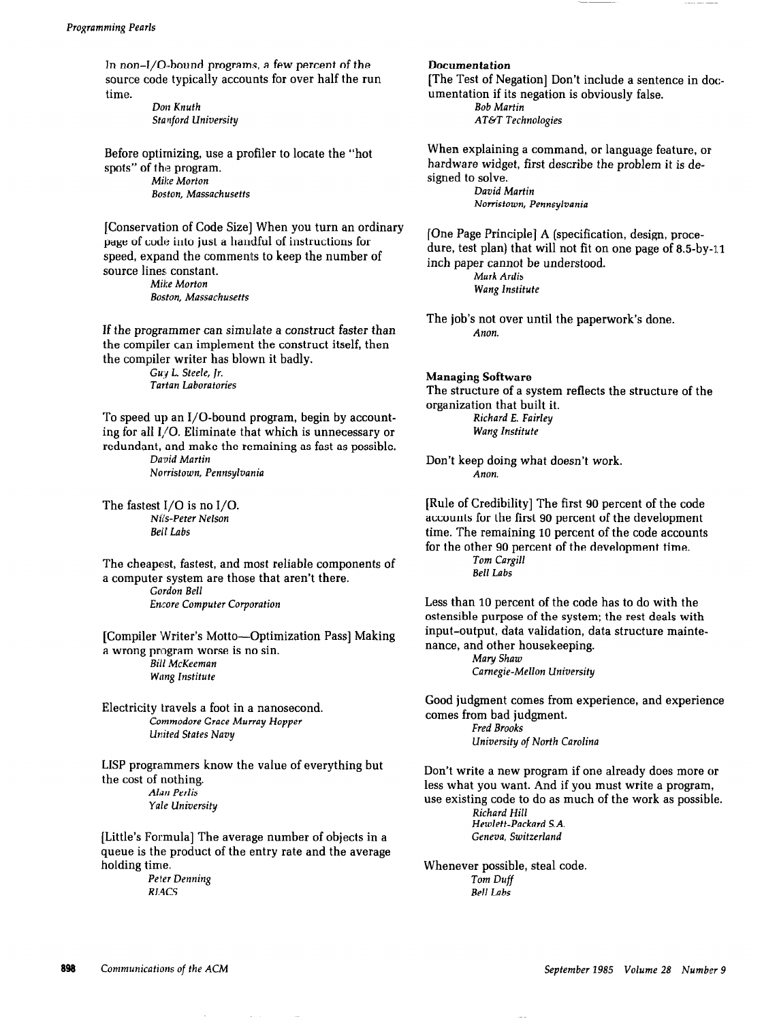In non-I/O-bound programs, a few percent of the source code typically accounts for over half the run time.

> Don Knuth Stanford University

Before optimizing, use a profiler to locate the "hot spots" of the program. Mike Morton Boston, Massachusetts

[Conservation of Code Size] When you turn an ordinary page of code into just a handful of instructions for speed, expand the comments to keep the number of source lines constant. Mike Morton

Boston, Massachusetts

If the programmer can simulate a construct faster than the compiler can implement the construct itself, then the compiler writer has blown it badly.

Gu:y L. Steele, jr. Tartan Laboratories

To speed up an I/O-bound program, begin by accounting for all 1,/O. Eliminate that which is unnecessary or redundant, and make the remaining as fast as possible. David Martin

Norristown, Pennsylvania

The fastest I/O is no I/O. Nil's-Peter Nelson Bell Labs

The cheapest, fastest, and most reliable components of a computer system are those that aren't there. Gordon Bell Encore Computer Corporation

[Compiler Writer's Motto-Optimization Pass] Making a wrong program worse is no sin. Bill McKeeman Wang Institute

Electricity travels a foot in a nanosecond. Commodore Grace Murray Hopper United States Navy

LISP programmers know the value of everything but the cost of nothing. Alan Perlis Yale University

[Little's Formula] The average number of objects in a queue is the product of the entry rate and the average holding time.

> Peter Denning RL4cs

#### **Documentation**

[The Test of Negation] Don't include a sentence in documentation if its negation is obviously false. Bob Martin

AT&T Technologies

When explaining a command, or language feature, or hardware widget, first describe the problem it is designed to solve. David Martin

Norristown, Pennsylvania

[One Page Principle] A (specification, design, procedure, test plan) that will not fit on one page of 8.5-by-11 inch paper cannot be understood. Mark Ardis

Wang Institute

The job's not over until the paperwork's done. Anon.

Managing Software The structure of a system reflects the structure of the

organization that built it. Richard E. Fairley Wang Institute

Don't keep doing what doesn't work. Anon.

[Rule of Credibility] The first 90 percent of the code accounts for the first 90 percent of the development time. The remaining 10 percent of the code accounts for the other 90 percent of the development time. Tom Cargill Belt Labs

Less than 10 percent of the code has to do with the ostensible purpose of the system; the rest deals with input-output, data validation, data structure maintenance, and other housekeeping.

Mary Shaw Carnegie-Mellon University

Good judgment comes from experience, and experience comes from bad judgment. Fred Brooks University of North Carolina

Don't write a new program if one already does more or less what you want. And if you must write a program, use existing code to do as much of the work as possible. Richard Hill

Hewlett-Packard S.A. Geneva, Switzerland

Whenever possible, steal code. Tom Duff Bell Labs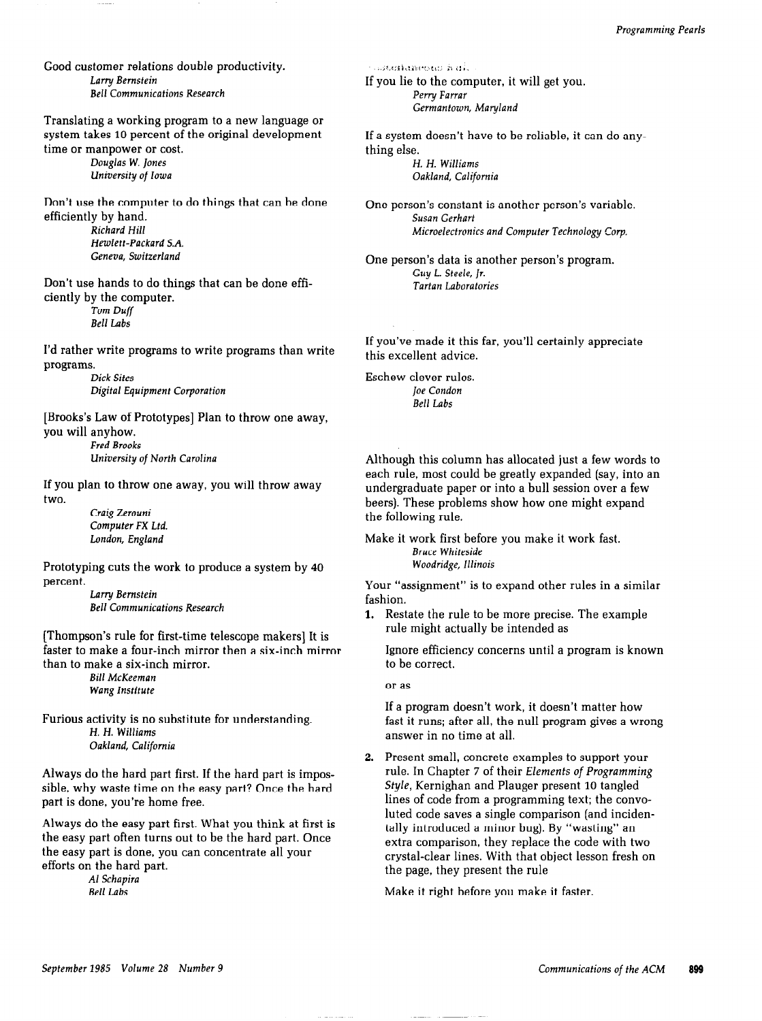Good customer relations double productivity. Larry Bernstein Bell Communications Research

Translating a working program to a new language or system takes 10 percent of the original development time or manpower or cost.

Douglas W. Jones University of Iowa

Don't use the computer to do things that can be done efficiently by hand. Richard Hill Hewlett-Packard S.A.

Geneva, Switzerland

Don't use hands to do things that can be done efficiently by the computer.

Tom Duff Bell Labs

I'd rather write programs to write programs than write programs.

> Dick Sites Digital Equipment Corporation

[Brooks's Law of Prototypes] Plan to throw one away, you will anyhow.

Fred Brooks University of North Carolina

If you plan to throw one away, you will throw away two.

> Craig Zerouni Computer FX Ltd. London, England

Prototyping cuts the work to produce a system by 40 percent.

Larry Bernstein Bell Communications Research

[Thompson's rule for first-time telescope makers] It is faster to make a four-inch mirror then a six-inch mirror than to make a six-inch mirror.

> Bill McKeeman Wang Institute

Furious activity is no substitute for understanding. H. H. Williams Oakland, California

Always do the hard part first. If the hard part is impossible, why waste time on the easy part? Once the hard part is done, you're home free.

Always do the easy part first. What you think at first is the easy part often turns out to be the hard part. Once the easy part is done, you can concentrate all your efforts on the hard part.

Al Schapira Bell Labs

 $\cdots$ interfamentu hal $\cdots$ If you lie to the computer, it will get you. Perry Farrar Germantown, Maryland

If a system doesn't have to be reliable, it can do anything else. H. H. Williams

Oakland, California

One person's constant is another person's variable. Susan Gerhart Microelectronics and Computer Technology Corp.

One person's data is another person's program. Guy L. Steele, Jr. Tartan Laboratories

If you've made it this far, you'll certainly appreciate this excellent advice.

Eschew clever rules. Joe Condon Bell Labs

Although this column has allocated just a few words to each rule, most could be greatly expanded (say, into an undergraduate paper or into a bull session over a few beers). These problems show how one might expand the following rule.

Make it work first before you make it work fast. Bruce Whiteside Woodridge, Illinois

Your "assignment" is to expand other rules in a similar fashion.

1. Restate the rule to be more precise. The example rule might actually be intended as

Ignore efficiency concerns until a program is known to be correct.

or as

If a program doesn't work, it doesn't matter how fast it runs; after all, the null program gives a wrong answer in no time at all.

Present small, concrete examples to support your rule. In Chapter 7 of their Elements of Programming Style, Kernighan and Plauger present 10 tangled lines of code from a programming text; the convoluted code saves a single comparison (and incidentally introduced a minor bug). By "wasting" an extra comparison, they replace the code with two crystal-clear lines. With that object lesson fresh on the page, they present the rule

Make it right before you make it faster.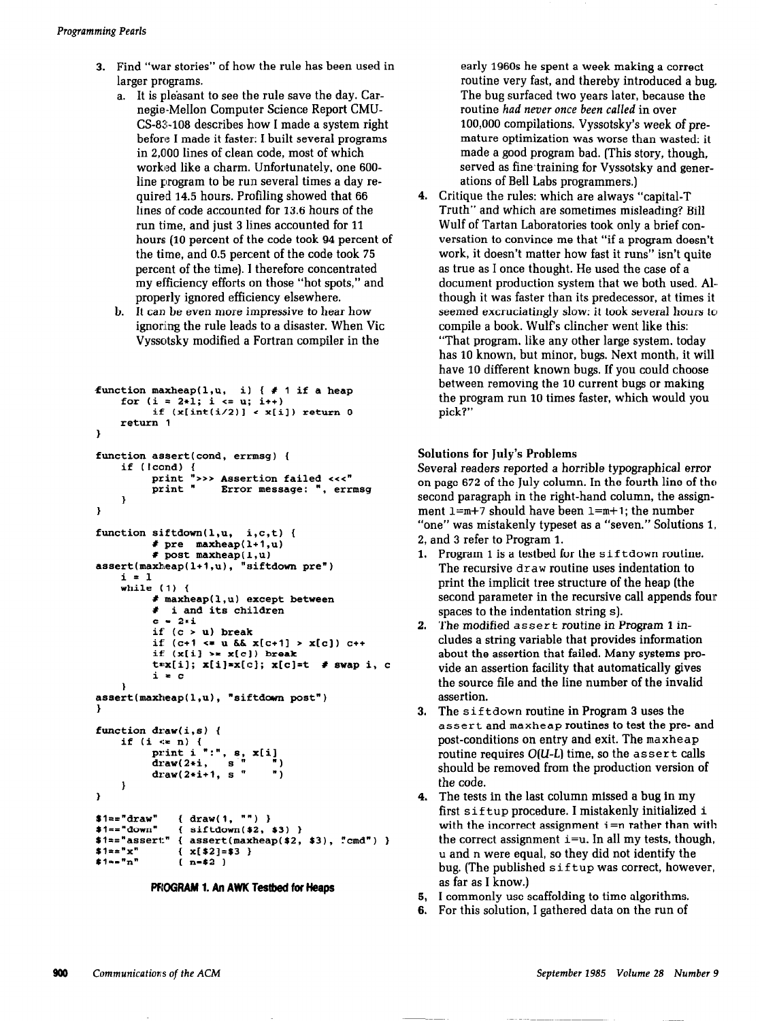- 3. Find "war stories" of how the rule has been used in larger programs.
	- a. It is pleasant to see the rule save the day. Carnegie-Mellon Computer Science Report CMU-CS-83-108 describes how I made a system right before I made it faster: I built several programs in 2,000 lines of clean code, most of which worked like a charm. Unfortunately, one 600 line program to be run several times a day required 14.5 hours. Profiling showed that 66 lines of code accounted for 13.6 hours of the run time, and just 3 lines accounted for 11 hours (10 percent of the code took 94 percent of the time, and 0.5 percent of the code took 75 percent of the time). I therefore concentrated my efficiency efforts on those "hot spots," and properly ignored efficiency elsewhere.
	- b. It can be even more impressive to hear how ignoring the rule leads to a disaster. When Vic Vyssotsky modified a Fortran compiler in the

```
function maxheap(1,u, i) { \# 1 if a heap
    for (i = 2*1; i \le u; i++)if (x(int(i/2)) < x[i]) return 0
    return 1 
1 
function assert(cond, errmsg) {
    if (Icond) { 
          print ">>> Assertion failed <<<"<br>print " Error message: ". err
                       Error message: ", errmsg
     1 
1 
function siftdown(1, u, i, c, t) {
          t pre maxheap(l+l,u] 
          \# post maxheap(1,u)assert(maxheap(1+1,u), "siftdown pre")
    i = 1while (I) { 
          # maxheap(1.u) except between 
          # i and its children 
          c = 2 * iif (c > u) break
          if (c+1 \le u \le x[c+1] > x[c]) c++if (x[i] > x[c]) break
          t*x[i]; x[i]*x[c]; x[c]=t # swap i, c
          i a c 
    t 
assert(maxbeap(1.u). "siftdown post") 
) 
function draw(i,s) { 
    if (i \le n) {
           print i ":", 8, x[i] 
           draw(2*i, s " ")
          draw(2*i+1, s " ")
    1 
) 
$1=="draw" { draw(1, "") }<br>$1=="down" { siftdown($2,
               { siftdown(*2, *3) }
12 = "assert." { assert(maxheap($2, $3), "cmd" }<br>51 = "x" { x[52] = 53 }
$1 \approx m { x[$2] = $3 }<br>$1 \approx m { n = $2 }
               {n = s2 }
```


early 1960s he spent a week making a correct routine very fast, and thereby introduced a bug. The bug surfaced two years later, because the routine had never once been called in over 100,000 compilations. Vyssotsky's week of premature optimization was worse than wasted: it made a good program bad. [This story, though, served as fine training for Vyssotsky and generations of Bell Labs programmers.)

4. Critique the rules: which are always "capital-T Truth" and which are sometimes misleading? Bill Wulf of Tartan Laboratories took only a brief conversation to convince me that "if a program doesn't work, it doesn't matter how fast it runs" isn't quite as true as I once thought. He used the case of a document production system that we both used. Although it was faster than its predecessor, at times it seemed excruciatingly slow: it took several hours to compile a book. Wulf's clincher went like this: "That program, like any other large system, today has 10 known, but minor, bugs. Next month, it will have 10 different known bugs. If you could choose between removing the 10 current bugs or making the program run 10 times faster, which would you pick?"

# Solutions for July's Problems

Several readers reported a horrible typographical error on page 672 of the July column. In the fourth line of the second paragraph in the right-hand column, the assignment  $1=m+7$  should have been  $1=m+1$ ; the number "one" was mistakenly typeset as a "seven." Solutions 1,

- 2, and 3 refer to Program 1.
- 1. Program 1 is a testbed for the sif tdown routine. The recursive draw routine uses indentation to print the implicit tree structure of the heap (the second parameter in the recursive call appends four spaces to the indentation string s).
- 2. The modified assert routine in Program 1 includes a string variable that provides information about the assertion that failed. Many systems provide an assertion facility that automatically gives the source file and the line number of the invalid assertion.
- 3. The sif tdown routine in Program 3 uses the assert and maxheap routines to test the pre- and post-conditions on entry and exit. The maxheap routine requires  $O(U-L)$  time, so the assert calls should be removed from the production version of the code.
- 4. The tests in the last column missed a bug in my first s if tup procedure. I mistakenly initialized i with the incorrect assignment  $i=n$  rather than with the correct assignment  $i=u$ . In all my tests, though, u and n were equal, so they did not identify the bug. (The published sif tup was correct, however, as far as I know.)
- 5, I commonly use scaffolding to time algorithms.
- 6. For this solution, I gathered data on the run of